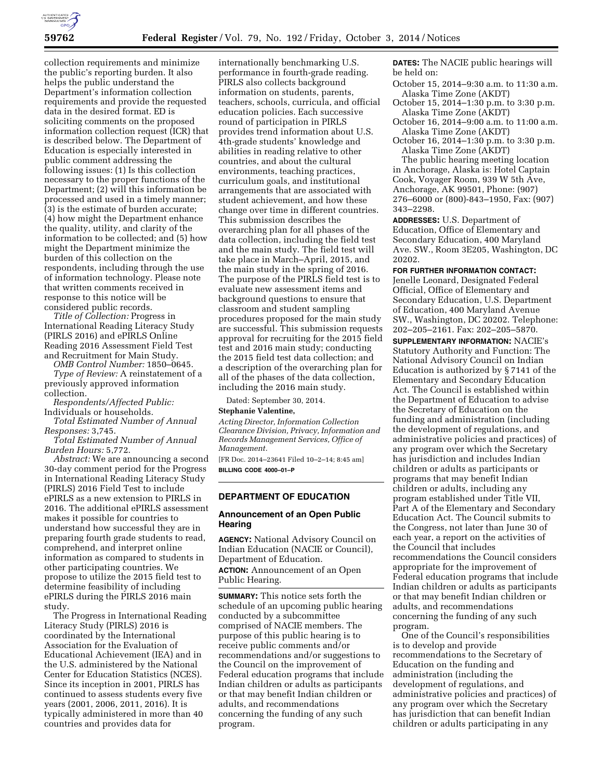

collection requirements and minimize the public's reporting burden. It also helps the public understand the Department's information collection requirements and provide the requested data in the desired format. ED is soliciting comments on the proposed information collection request (ICR) that is described below. The Department of Education is especially interested in public comment addressing the following issues: (1) Is this collection necessary to the proper functions of the Department; (2) will this information be processed and used in a timely manner; (3) is the estimate of burden accurate; (4) how might the Department enhance the quality, utility, and clarity of the information to be collected; and (5) how might the Department minimize the burden of this collection on the respondents, including through the use of information technology. Please note that written comments received in response to this notice will be considered public records.

*Title of Collection:* Progress in International Reading Literacy Study (PIRLS 2016) and ePIRLS Online Reading 2016 Assessment Field Test and Recruitment for Main Study.

*OMB Control Number:* 1850–0645.

*Type of Review:* A reinstatement of a previously approved information collection.

*Respondents/Affected Public:*  Individuals or households.

*Total Estimated Number of Annual Responses:* 3,745.

*Total Estimated Number of Annual Burden Hours:* 5,772.

*Abstract:* We are announcing a second 30-day comment period for the Progress in International Reading Literacy Study (PIRLS) 2016 Field Test to include ePIRLS as a new extension to PIRLS in 2016. The additional ePIRLS assessment makes it possible for countries to understand how successful they are in preparing fourth grade students to read, comprehend, and interpret online information as compared to students in other participating countries. We propose to utilize the 2015 field test to determine feasibility of including ePIRLS during the PIRLS 2016 main study.

The Progress in International Reading Literacy Study (PIRLS) 2016 is coordinated by the International Association for the Evaluation of Educational Achievement (IEA) and in the U.S. administered by the National Center for Education Statistics (NCES). Since its inception in 2001, PIRLS has continued to assess students every five years (2001, 2006, 2011, 2016). It is typically administered in more than 40 countries and provides data for

internationally benchmarking U.S. performance in fourth-grade reading. PIRLS also collects background information on students, parents, teachers, schools, curricula, and official education policies. Each successive round of participation in PIRLS provides trend information about U.S. 4th-grade students' knowledge and abilities in reading relative to other countries, and about the cultural environments, teaching practices, curriculum goals, and institutional arrangements that are associated with student achievement, and how these change over time in different countries. This submission describes the overarching plan for all phases of the data collection, including the field test and the main study. The field test will take place in March–April, 2015, and the main study in the spring of 2016. The purpose of the PIRLS field test is to evaluate new assessment items and background questions to ensure that classroom and student sampling procedures proposed for the main study are successful. This submission requests approval for recruiting for the 2015 field test and 2016 main study; conducting the 2015 field test data collection; and a description of the overarching plan for all of the phases of the data collection, including the 2016 main study.

Dated: September 30, 2014.

#### **Stephanie Valentine,**

*Acting Director, Information Collection Clearance Division, Privacy, Information and Records Management Services, Office of Management.* 

[FR Doc. 2014–23641 Filed 10–2–14; 8:45 am] **BILLING CODE 4000–01–P** 

# **DEPARTMENT OF EDUCATION**

## **Announcement of an Open Public Hearing**

**AGENCY:** National Advisory Council on Indian Education (NACIE or Council), Department of Education. **ACTION:** Announcement of an Open Public Hearing.

**SUMMARY:** This notice sets forth the schedule of an upcoming public hearing conducted by a subcommittee comprised of NACIE members. The purpose of this public hearing is to receive public comments and/or recommendations and/or suggestions to the Council on the improvement of Federal education programs that include Indian children or adults as participants or that may benefit Indian children or adults, and recommendations concerning the funding of any such program.

**DATES:** The NACIE public hearings will be held on:

- October 15, 2014–9:30 a.m. to 11:30 a.m. Alaska Time Zone (AKDT)
- October 15, 2014–1:30 p.m. to 3:30 p.m. Alaska Time Zone (AKDT)
- October 16, 2014–9:00 a.m. to 11:00 a.m. Alaska Time Zone (AKDT)
- October 16, 2014–1:30 p.m. to 3:30 p.m. Alaska Time Zone (AKDT)

The public hearing meeting location in Anchorage, Alaska is: Hotel Captain Cook, Voyager Room, 939 W 5th Ave, Anchorage, AK 99501, Phone: (907) 276–6000 or (800)-843–1950, Fax: (907) 343–2298.

**ADDRESSES:** U.S. Department of Education, Office of Elementary and Secondary Education, 400 Maryland Ave. SW., Room 3E205, Washington, DC 20202.

### **FOR FURTHER INFORMATION CONTACT:**

Jenelle Leonard, Designated Federal Official, Office of Elementary and Secondary Education, U.S. Department of Education, 400 Maryland Avenue SW., Washington, DC 20202. Telephone: 202–205–2161. Fax: 202–205–5870.

**SUPPLEMENTARY INFORMATION:** NACIE's Statutory Authority and Function: The National Advisory Council on Indian Education is authorized by § 7141 of the Elementary and Secondary Education Act. The Council is established within the Department of Education to advise the Secretary of Education on the funding and administration (including the development of regulations, and administrative policies and practices) of any program over which the Secretary has jurisdiction and includes Indian children or adults as participants or programs that may benefit Indian children or adults, including any program established under Title VII, Part A of the Elementary and Secondary Education Act. The Council submits to the Congress, not later than June 30 of each year, a report on the activities of the Council that includes recommendations the Council considers appropriate for the improvement of Federal education programs that include Indian children or adults as participants or that may benefit Indian children or adults, and recommendations concerning the funding of any such program.

One of the Council's responsibilities is to develop and provide recommendations to the Secretary of Education on the funding and administration (including the development of regulations, and administrative policies and practices) of any program over which the Secretary has jurisdiction that can benefit Indian children or adults participating in any